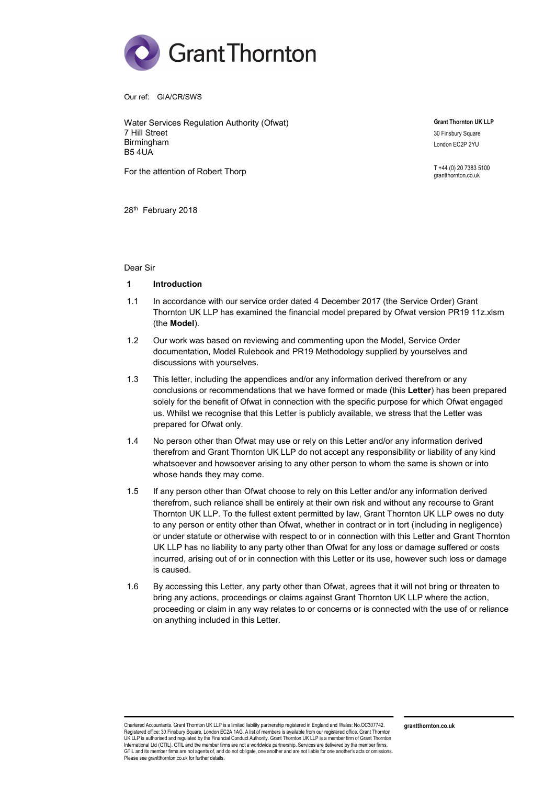

Our ref: GIA/CR/SWS

Water Services Regulation Authority (Ofwat) 7 Hill Street Birmingham B5 4UA

For the attention of Robert Thorp

Grant Thornton UK LLP 30 Finsbury Square

London EC2P 2YU

T +44 (0) 20 7383 5100 grantthornton.co.uk

28<sup>th</sup> February 2018

#### Dear Sir

### 1 Introduction

- 1.1 In accordance with our service order dated 4 December 2017 (the Service Order) Grant Thornton UK LLP has examined the financial model prepared by Ofwat version PR19 11z.xlsm (the Model).
- 1.2 Our work was based on reviewing and commenting upon the Model, Service Order documentation, Model Rulebook and PR19 Methodology supplied by yourselves and discussions with yourselves.
- 1.3 This letter, including the appendices and/or any information derived therefrom or any conclusions or recommendations that we have formed or made (this Letter) has been prepared solely for the benefit of Ofwat in connection with the specific purpose for which Ofwat engaged us. Whilst we recognise that this Letter is publicly available, we stress that the Letter was prepared for Ofwat only.
- 1.4 No person other than Ofwat may use or rely on this Letter and/or any information derived therefrom and Grant Thornton UK LLP do not accept any responsibility or liability of any kind whatsoever and howsoever arising to any other person to whom the same is shown or into whose hands they may come.
- 1.5 If any person other than Ofwat choose to rely on this Letter and/or any information derived therefrom, such reliance shall be entirely at their own risk and without any recourse to Grant Thornton UK LLP. To the fullest extent permitted by law, Grant Thornton UK LLP owes no duty to any person or entity other than Ofwat, whether in contract or in tort (including in negligence) or under statute or otherwise with respect to or in connection with this Letter and Grant Thornton UK LLP has no liability to any party other than Ofwat for any loss or damage suffered or costs incurred, arising out of or in connection with this Letter or its use, however such loss or damage is caused.
- 1.6 By accessing this Letter, any party other than Ofwat, agrees that it will not bring or threaten to bring any actions, proceedings or claims against Grant Thornton UK LLP where the action, proceeding or claim in any way relates to or concerns or is connected with the use of or reliance on anything included in this Letter.

Chartered Accountants. Grant Thornton UK LLP is a limited liability partnership registered in England and Wales: No.OC307742. Registered office: 30 Finsbury Square, London EC2A 1AG. A list of members is available from our registered office. Grant Thornton UK LLP is authorised and regulated by the Financial Conduct Authority. Grant Thornton UK LLP is a member firm of Grant Thornton International Ltd (GTIL). GTIL and the member firms are not a worldwide partnership. Services are delivered by the member firms.<br>GTIL and its member firms are not agents of, and do not obligate, one another and are not lia Please see grantthornton.co.uk for further details.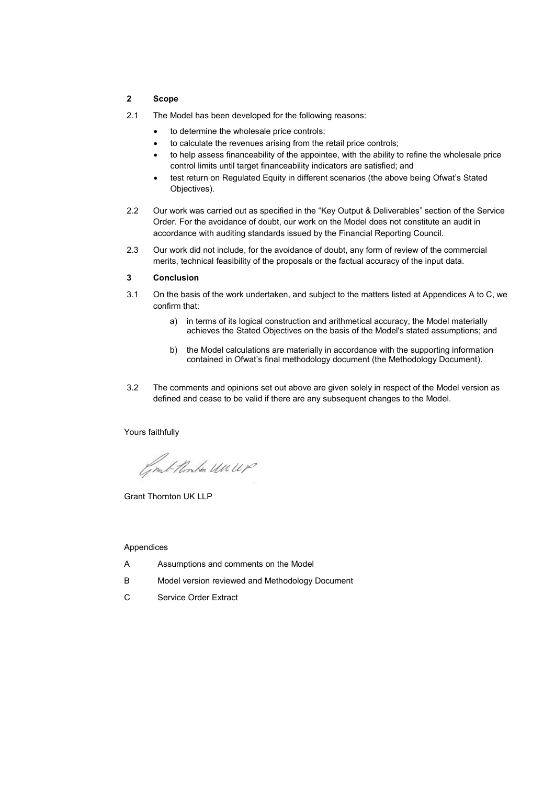# 2 Scope

- 2.1 The Model has been developed for the following reasons:
	- to determine the wholesale price controls;
	- to calculate the revenues arising from the retail price controls;
	- to help assess financeability of the appointee, with the ability to refine the wholesale price control limits until target financeability indicators are satisfied; and
	- test return on Regulated Equity in different scenarios (the above being Ofwat's Stated Objectives).
- 2.2 Our work was carried out as specified in the "Key Output & Deliverables" section of the Service Order. For the avoidance of doubt, our work on the Model does not constitute an audit in accordance with auditing standards issued by the Financial Reporting Council.
- 2.3 Our work did not include, for the avoidance of doubt, any form of review of the commercial merits, technical feasibility of the proposals or the factual accuracy of the input data.

#### 3 Conclusion

- 3.1 On the basis of the work undertaken, and subject to the matters listed at Appendices A to C, we confirm that:
	- a) in terms of its logical construction and arithmetical accuracy, the Model materially achieves the Stated Objectives on the basis of the Model's stated assumptions; and
	- b) the Model calculations are materially in accordance with the supporting information contained in Ofwat's final methodology document (the Methodology Document).
- 3.2 The comments and opinions set out above are given solely in respect of the Model version as defined and cease to be valid if there are any subsequent changes to the Model.

Yours faithfully

Comb thinken Un UP

Grant Thornton UK LLP

## Appendices

- A Assumptions and comments on the Model
- B Model version reviewed and Methodology Document
- C Service Order Extract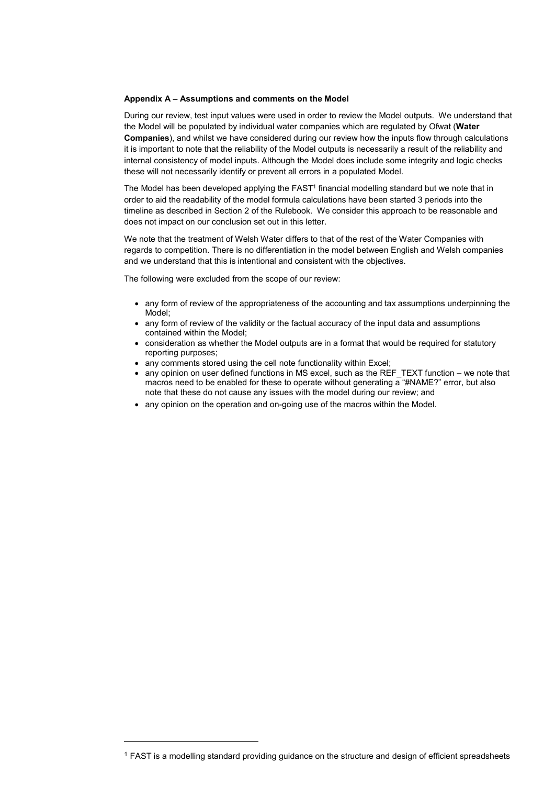#### Appendix A – Assumptions and comments on the Model

During our review, test input values were used in order to review the Model outputs. We understand that the Model will be populated by individual water companies which are regulated by Ofwat (Water Companies), and whilst we have considered during our review how the inputs flow through calculations it is important to note that the reliability of the Model outputs is necessarily a result of the reliability and internal consistency of model inputs. Although the Model does include some integrity and logic checks these will not necessarily identify or prevent all errors in a populated Model.

The Model has been developed applying the FAST<sup>1</sup> financial modelling standard but we note that in order to aid the readability of the model formula calculations have been started 3 periods into the timeline as described in Section 2 of the Rulebook. We consider this approach to be reasonable and does not impact on our conclusion set out in this letter.

We note that the treatment of Welsh Water differs to that of the rest of the Water Companies with regards to competition. There is no differentiation in the model between English and Welsh companies and we understand that this is intentional and consistent with the objectives.

The following were excluded from the scope of our review:

- any form of review of the appropriateness of the accounting and tax assumptions underpinning the Model;
- any form of review of the validity or the factual accuracy of the input data and assumptions contained within the Model;
- consideration as whether the Model outputs are in a format that would be required for statutory reporting purposes;
- any comments stored using the cell note functionality within Excel;
- $\bullet$  any opinion on user defined functions in MS excel, such as the REF\_TEXT function we note that macros need to be enabled for these to operate without generating  $\overline{a}$  "#NAME?" error, but also note that these do not cause any issues with the model during our review; and
- any opinion on the operation and on-going use of the macros within the Model.

-

<sup>1</sup> FAST is a modelling standard providing guidance on the structure and design of efficient spreadsheets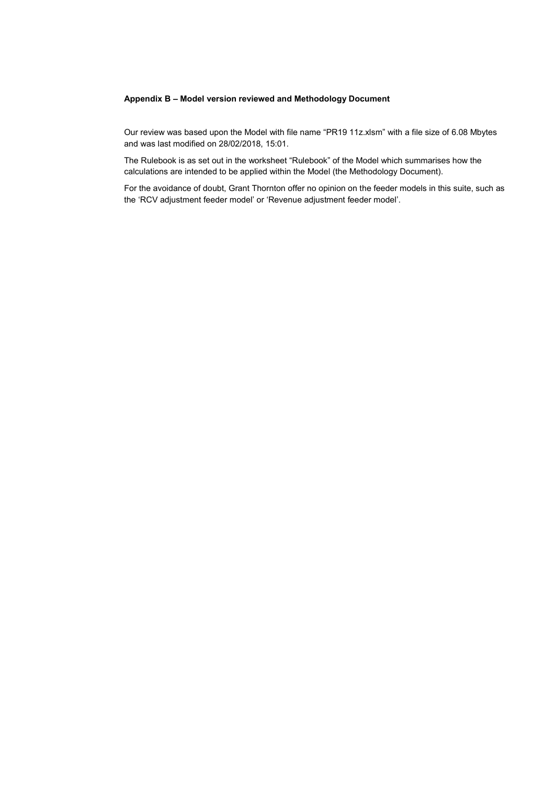## Appendix B – Model version reviewed and Methodology Document

Our review was based upon the Model with file name "PR19 11z.xlsm" with a file size of 6.08 Mbytes and was last modified on 28/02/2018, 15:01.

The Rulebook is as set out in the worksheet "Rulebook" of the Model which summarises how the calculations are intended to be applied within the Model (the Methodology Document).

For the avoidance of doubt, Grant Thornton offer no opinion on the feeder models in this suite, such as the 'RCV adjustment feeder model' or 'Revenue adjustment feeder model'.